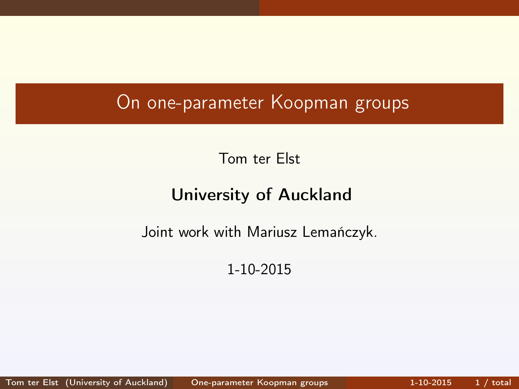## On one-parameter Koopman groups

Tom ter Elst

### University of Auckland

Joint work with Mariusz Lemańczyk.

<span id="page-0-0"></span>1-10-2015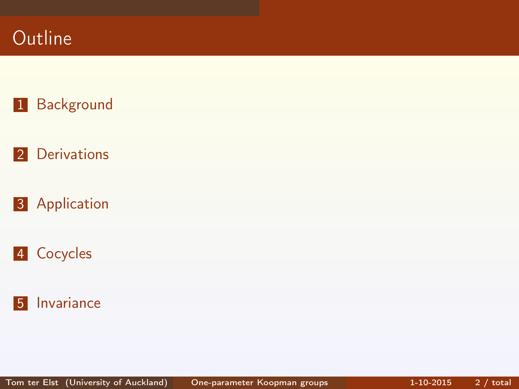



[Derivations](#page-4-0)

[Application](#page-8-0)



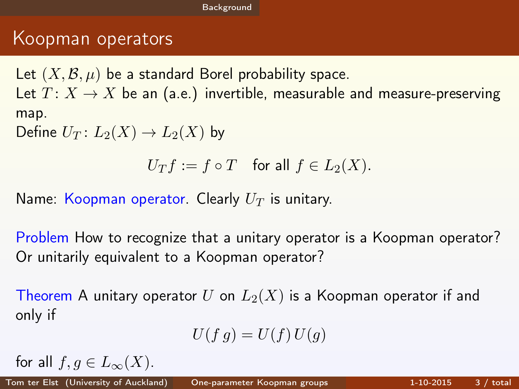### Koopman operators

Let  $(X, \mathcal{B}, \mu)$  be a standard Borel probability space. Let  $T: X \to X$  be an (a.e.) invertible, measurable and measure-preserving map.

Define  $U_T: L_2(X) \to L_2(X)$  by

$$
U_Tf := f \circ T \quad \text{for all } f \in L_2(X).
$$

Name: Koopman operator. Clearly  $U_T$  is unitary.

Problem How to recognize that a unitary operator is a Koopman operator? Or unitarily equivalent to a Koopman operator?

Theorem A unitary operator U on  $L_2(X)$  is a Koopman operator if and only if

<span id="page-2-0"></span>
$$
U(f g) = U(f) U(g)
$$

for all  $f, q \in L_{\infty}(X)$ .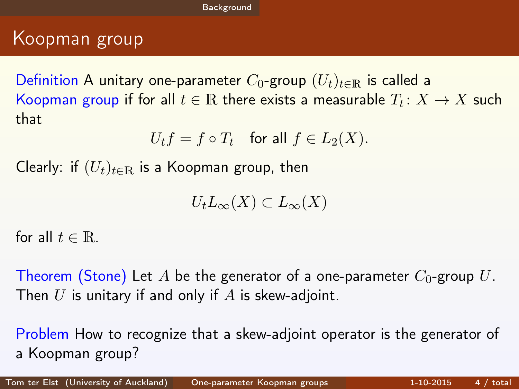## Koopman group

Definition A unitary one-parameter  $C_0$ -group  $(U_t)_{t\in\mathbb{R}}$  is called a Koopman group if for all  $t\in\mathbb{R}$  there exists a measurable  $T_t\colon X\to X$  such that

$$
U_t f = f \circ T_t \quad \text{for all } f \in L_2(X).
$$

Clearly: if  $(U_t)_{t\in\mathbb{R}}$  is a Koopman group, then

<span id="page-3-0"></span> $U_tL_{\infty}(X) \subset L_{\infty}(X)$ 

for all  $t \in \mathbb{R}$ .

Theorem (Stone) Let A be the generator of a one-parameter  $C_0$ -group U. Then  $U$  is unitary if and only if  $A$  is skew-adjoint.

Problem How to recognize that a skew-adjoint operator is the generator of a Koopman group?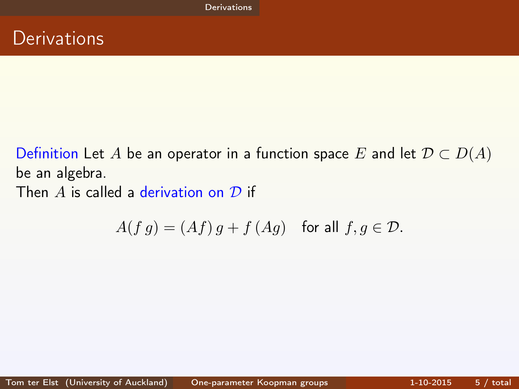Definition Let A be an operator in a function space E and let  $\mathcal{D} \subset D(A)$ be an algebra. Then A is called a derivation on  $\mathcal D$  if

<span id="page-4-0"></span>
$$
A(f g) = (Af) g + f (Ag) \quad \text{for all } f, g \in \mathcal{D}.
$$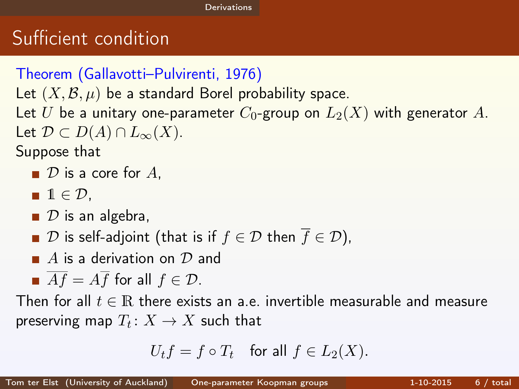# Sufficient condition

```
Theorem (Gallavotti–Pulvirenti, 1976)
Let (X, \mathcal{B}, \mu) be a standard Borel probability space.
Let U be a unitary one-parameter C_0-group on L_2(X) with generator A.
Let \mathcal{D} \subset D(A) \cap L_{\infty}(X).
Suppose that
   \blacksquare \mathcal D is a core for A.
   \blacksquare 1 \in \mathcal{D}.
   \Box D is an algebra,
   ■ D is self-adjoint (that is if f \in D then \overline{f} \in D),
   \blacksquare A is a derivation on {\cal D} and
   \overline{A} \overline{f} = A \overline{f} for all f \in \mathcal{D}.
Then for all t \in \mathbb{R} there exists an a.e. invertible measurable and measure
preserving map T_t\colon X\to X such that
```
<span id="page-5-0"></span>
$$
U_t f = f \circ T_t \quad \text{for all } f \in L_2(X).
$$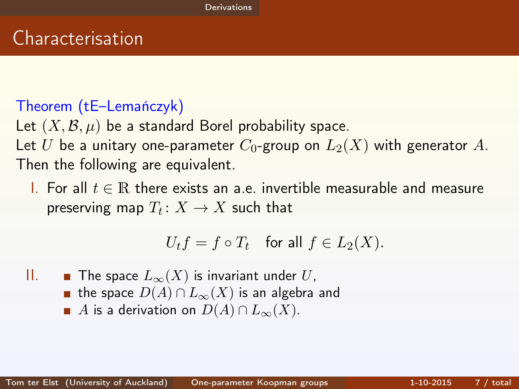# Characterisation

#### Theorem (tE–Lemańczyk)

Let  $(X, \mathcal{B}, \mu)$  be a standard Borel probability space. Let U be a unitary one-parameter  $C_0$ -group on  $L_2(X)$  with generator A. Then the following are equivalent.

I. For all t ∈ R there exists an a.e. invertible measurable and measure preserving map  $T_t\colon X\to X$  such that

<span id="page-6-0"></span>
$$
U_t f = f \circ T_t \quad \text{for all } f \in L_2(X).
$$

II. ■ The space  $L_{\infty}(X)$  is invariant under U, **■** the space  $D(A) \cap L_{\infty}(X)$  is an algebra and A is a derivation on  $D(A) \cap L_{\infty}(X)$ .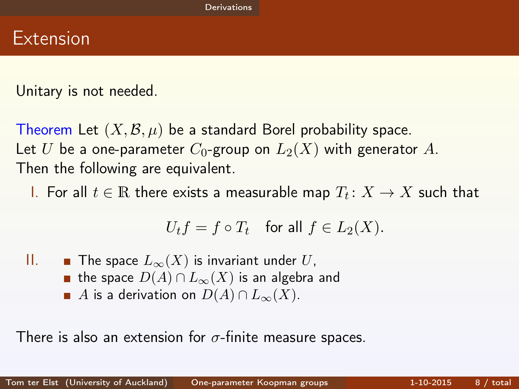Unitary is not needed.

Theorem Let  $(X, \mathcal{B}, \mu)$  be a standard Borel probability space. Let U be a one-parameter  $C_0$ -group on  $L_2(X)$  with generator A. Then the following are equivalent.

I. For all  $t \in \mathbb{R}$  there exists a measurable map  $T_t \colon X \to X$  such that

<span id="page-7-0"></span>
$$
U_t f = f \circ T_t \quad \text{for all } f \in L_2(X).
$$

II. ■ The space  $L_{\infty}(X)$  is invariant under U, **■** the space  $D(A) \cap L_{\infty}(X)$  is an algebra and A is a derivation on  $D(A) \cap L_{\infty}(X)$ .

There is also an extension for  $\sigma$ -finite measure spaces.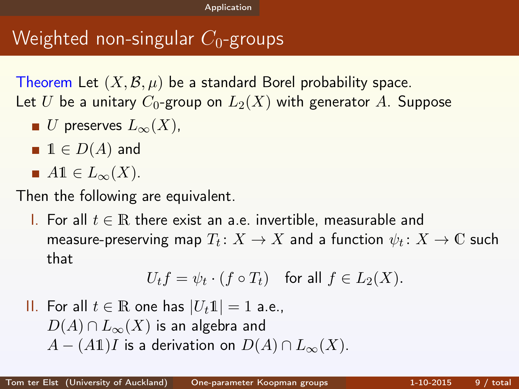# Weighted non-singular  $C_0$ -groups

Theorem Let  $(X, \mathcal{B}, \mu)$  be a standard Borel probability space. Let U be a unitary  $C_0$ -group on  $L_2(X)$  with generator A. Suppose

- U preserves  $L_{\infty}(X)$ ,
- $\blacksquare$  1  $\in$   $D(A)$  and
- $A1 \in L_{\infty}(X)$ .

Then the following are equivalent.

I. For all  $t \in \mathbb{R}$  there exist an a.e. invertible, measurable and measure-preserving map  $T_t\colon X\to X$  and a function  $\psi_t\colon X\to \mathbb{C}$  such that

<span id="page-8-0"></span>
$$
U_t f = \psi_t \cdot (f \circ T_t) \quad \text{for all } f \in L_2(X).
$$

II. For all  $t \in \mathbb{R}$  one has  $|U_t1| = 1$  a.e.,  $D(A) \cap L_{\infty}(X)$  is an algebra and  $A - (A\mathbb{1})I$  is a derivation on  $D(A) \cap L_{\infty}(X)$ .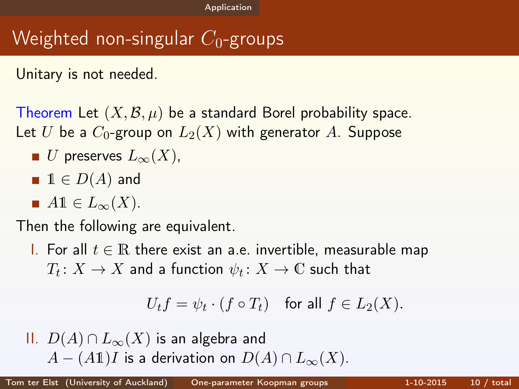# Weighted non-singular  $C_0$ -groups

Unitary is not needed.

Theorem Let  $(X, \mathcal{B}, \mu)$  be a standard Borel probability space. Let U be a  $C_0$ -group on  $L_2(X)$  with generator A. Suppose

- U preserves  $L_{\infty}(X)$ ,
- $\blacksquare$  1  $\in$   $D(A)$  and
- $A1 \in L_{\infty}(X)$ .

Then the following are equivalent.

<u>I</u>. For all  $t \in \mathbb{R}$  there exist an a.e. invertible, measurable map  $T_t \colon X \to X$  and a function  $\psi_t \colon X \to \mathbb{C}$  such that

<span id="page-9-0"></span>
$$
U_t f = \psi_t \cdot (f \circ T_t) \quad \text{for all } f \in L_2(X).
$$

II. 
$$
D(A) \cap L_{\infty}(X)
$$
 is an algebra and  
  $A - (A1)I$  is a derivation on  $D(A) \cap L_{\infty}(X)$ .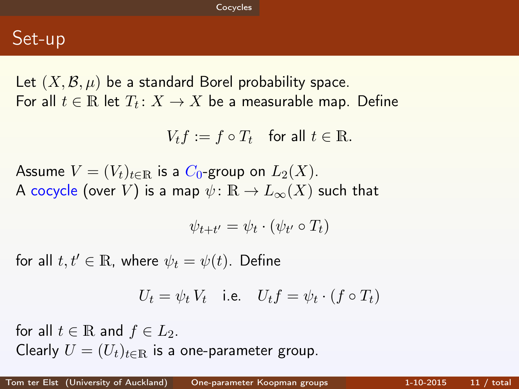### Set-up

Let  $(X, \mathcal{B}, \mu)$  be a standard Borel probability space. For all  $t \in \mathbb{R}$  let  $T_t \colon X \to X$  be a measurable map. Define

$$
V_t f := f \circ T_t \quad \text{for all } t \in \mathbb{R}.
$$

Assume  $V = (V_t)_{t \in \mathbb{R}}$  is a  $C_0$ -group on  $L_2(X)$ . A cocycle (over V) is a map  $\psi: \mathbb{R} \to L_{\infty}(X)$  such that

<span id="page-10-0"></span>
$$
\psi_{t+t'} = \psi_t \cdot (\psi_{t'} \circ T_t)
$$

for all  $t, t' \in \mathbb{R}$ , where  $\psi_t = \psi(t)$ . Define

$$
U_t = \psi_t V_t \quad \text{i.e.} \quad U_t f = \psi_t \cdot (f \circ T_t)
$$

for all  $t \in \mathbb{R}$  and  $f \in L_2$ . Clearly  $U = (U_t)_{t \in \mathbb{R}}$  is a one-parameter group.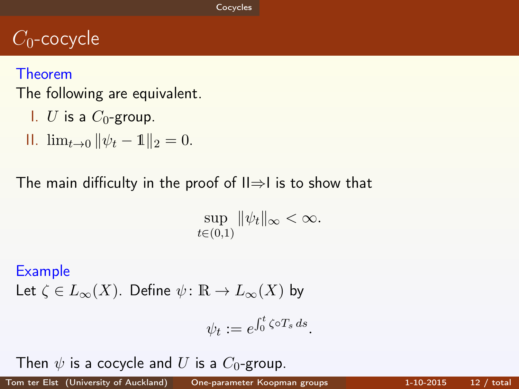# $C_0$ -cocycle

#### Theorem

The following are equivalent.

- I. U is a  $C_0$ -group.
- II.  $\lim_{t\to 0} ||\psi_t 1||_2 = 0.$

#### The main difficulty in the proof of  $II\Rightarrow I$  is to show that

 $\sup \|\psi_t\|_{\infty} < \infty.$  $t\in(0,1)$ 

#### Example

Let  $\zeta \in L_{\infty}(X)$ . Define  $\psi : \mathbb{R} \to L_{\infty}(X)$  by

<span id="page-11-0"></span>
$$
\psi_t := e^{\int_0^t \zeta \circ T_s ds}.
$$

Then  $\psi$  is a cocycle and U is a  $C_0$ -group.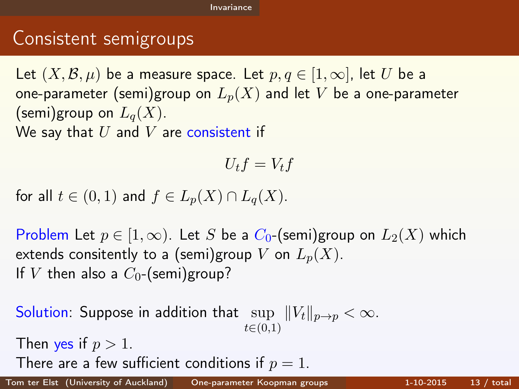# Consistent semigroups

Let  $(X, \mathcal{B}, \mu)$  be a measure space. Let  $p, q \in [1, \infty]$ , let U be a one-parameter (semi)group on  $L_p(X)$  and let V be a one-parameter (semi)group on  $L_q(X)$ . We say that  $U$  and  $V$  are consistent if

<span id="page-12-0"></span>
$$
U_t f=V_t f
$$

for all  $t \in (0,1)$  and  $f \in L_n(X) \cap L_q(X)$ .

Problem Let  $p \in [1,\infty)$ . Let S be a  $C_0$ -(semi)group on  $L_2(X)$  which extends consitently to a (semi)group V on  $L_p(X)$ . If V then also a  $C_0$ -(semi)group?

Solution: Suppose in addition that  $\sup\,\,\|V_t\|_{p\to p}<\infty.$  $t\in(0,1)$ Then yes if  $p > 1$ . There are a few sufficient conditions if  $p = 1$ .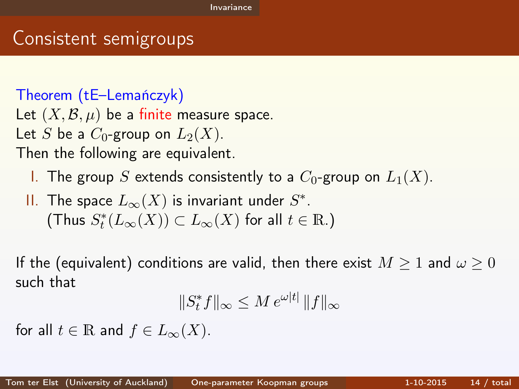### Consistent semigroups

Theorem (tE–Lemańczyk)

Let  $(X, \mathcal{B}, \mu)$  be a finite measure space.

Let S be a  $C_0$ -group on  $L_2(X)$ .

Then the following are equivalent.

- I. The group S extends consistently to a  $C_0$ -group on  $L_1(X)$ .
- II. The space  $L_{\infty}(X)$  is invariant under  $S^*.$ (Thus  $S^*_t(L_\infty(X)) \subset L_\infty(X)$  for all  $t \in \mathbb{R}$ .)

If the (equivalent) conditions are valid, then there exist  $M \geq 1$  and  $\omega \geq 0$ such that

<span id="page-13-0"></span>
$$
||S_t^* f||_{\infty} \le M e^{\omega |t|} ||f||_{\infty}
$$

for all  $t \in \mathbb{R}$  and  $f \in L_{\infty}(X)$ .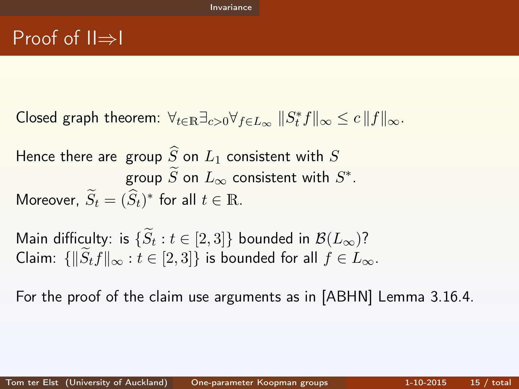Closed graph theorem:  $\forall_{t\in\mathbb{R}}\exists_{c>0}\forall_{f\in L_{\infty}}\||S^*_tf\|_{\infty}\leq c\||f\|_{\infty}.$ 

Hence there are group  $\widehat{S}$  on  $L_1$  consistent with  $S$ group  $\widetilde{S}$  on  $L_{\infty}$  consistent with  $S^*.$ Moreover,  $\widetilde{S}_t = (\widehat{S}_t)^*$  for all  $t \in \mathbb{R}$ .

Main difficulty: is  $\{S_t : t \in [2,3]\}$  bounded in  $\mathcal{B}(L_\infty)$ ? Claim:  $\{||\tilde{S}_t f||_{\infty} : t \in [2, 3]\}$  is bounded for all  $f \in L_{\infty}$ .

<span id="page-14-0"></span>For the proof of the claim use arguments as in [ABHN] Lemma 3.16.4.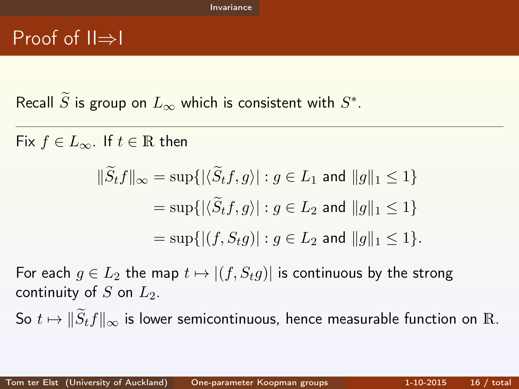Recall  $\widetilde{S}$  is group on  $L_{\infty}$  which is consistent with  $S^* .$ 

Fix  $f \in L_{\infty}$ . If  $t \in \mathbb{R}$  then

<span id="page-15-0"></span>
$$
\|\widetilde{S}_t f\|_{\infty} = \sup\{|\langle \widetilde{S}_t f, g \rangle| : g \in L_1 \text{ and } \|g\|_1 \le 1\}
$$
  
= 
$$
\sup\{|\langle \widetilde{S}_t f, g \rangle| : g \in L_2 \text{ and } \|g\|_1 \le 1\}
$$
  
= 
$$
\sup\{|(f, S_t g)| : g \in L_2 \text{ and } \|g\|_1 \le 1\}.
$$

For each  $g \in L_2$  the map  $t \mapsto |(f, S_t g)|$  is continuous by the strong continuity of S on  $L_2$ .

So  $t \mapsto \|\widetilde{S}_t f\|_{\infty}$  is lower semicontinuous, hence measurable function on R.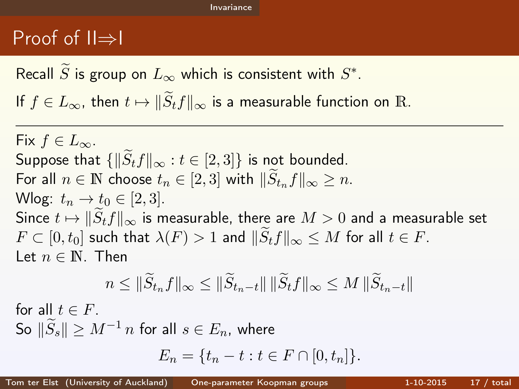Recall  $\widetilde{S}$  is group on  $L_{\infty}$  which is consistent with  $S^* .$ 

If  $f \in L_{\infty}$ , then  $t \mapsto ||\widetilde{S}_t f||_{\infty}$  is a measurable function on R.

Fix  $f \in L_{\infty}$ . Suppose that  $\{\|\tilde{S}_t f\|_{\infty} : t \in [2,3]\}$  is not bounded. For all  $n \in \mathbb{N}$  choose  $t_n \in [2, 3]$  with  $\|\tilde{S}_{t_n} f\|_{\infty} \geq n$ . Wlog:  $t_n \rightarrow t_0 \in [2, 3]$ . Since  $t \mapsto ||S_t f||_{\infty}$  is measurable, there are  $M > 0$  and a measurable set  $F \subset [0, t_0]$  such that  $\lambda(F) > 1$  and  $||S_t f||_{\infty} \leq M$  for all  $t \in F$ . Let  $n \in \mathbb{N}$ . Then

<span id="page-16-0"></span>
$$
n \leq \|\widetilde{S}_{t_n}f\|_{\infty} \leq \|\widetilde{S}_{t_n-t}\| \|\widetilde{S}_t f\|_{\infty} \leq M \|\widetilde{S}_{t_n-t}\|
$$

for all  $t \in F$ . So  $||S_s|| > M^{-1} n$  for all  $s \in E_n$ , where  $E_n = \{t_n - t : t \in F \cap [0, t_n]\}.$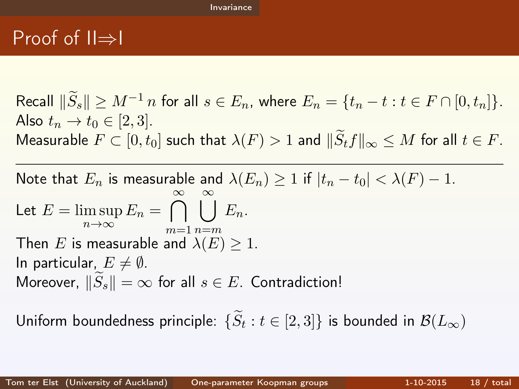Recall  $\|\widetilde{S}_s\| > M^{-1} n$  for all  $s \in E_n$ , where  $E_n = \{t_n - t : t \in F \cap [0, t_n]\}.$ Also  $t_n \to t_0 \in [2, 3]$ . Measurable  $F \subset [0, t_0]$  such that  $\lambda(F) > 1$  and  $\|\widetilde{S}_t f\|_{\infty} \leq M$  for all  $t \in F$ .

Note that  $E_n$  is measurable and  $\lambda(E_n) \geq 1$  if  $|t_n-t_0| < \lambda(F) - 1$ . Let  $E = \limsup$  $\limsup_{n\to\infty} E_n = \bigcap_{m=1}^{\infty} \bigcup_{n=m}^{\infty} E_n.$  $m=1$   $n=m$ Then E is measurable and  $\lambda(E) \geq 1$ . In particular,  $E \neq \emptyset$ . Moreover,  $\|\tilde{S}_s\| = \infty$  for all  $s \in E$ . Contradiction!

<span id="page-17-0"></span>Uniform boundedness principle:  $\{S_t: t \in [2,3]\}$  is bounded in  $\mathcal{B}(L_{\infty})$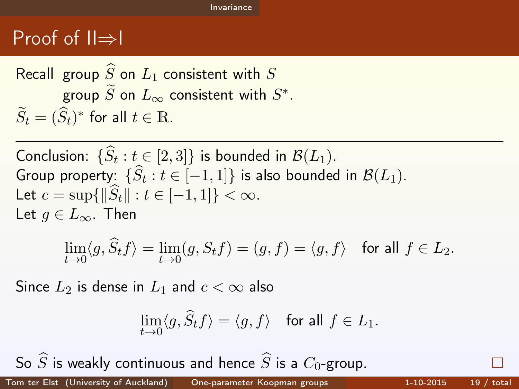Recall group  $\widehat{S}$  on  $L_1$  consistent with  $S$ group  $\widetilde{S}$  on  $L_{\infty}$  consistent with  $S^*.$  $\widetilde{S}_t = (\widehat{S}_t)^*$  for all  $t \in \mathbb{R}$ .

Conclusion:  $\{S_t : t \in [2,3]\}$  is bounded in  $\mathcal{B}(L_1)$ . Group property:  $\{S_t : t \in [-1,1]\}$  is also bounded in  $\mathcal{B}(L_1)$ . Let  $c = \sup{\{\|\hat{S}_t\| : t \in [-1, 1]\}} < \infty$ . Let  $q \in L_{\infty}$ . Then

$$
\lim_{t \to 0} \langle g, \widehat{S}_t f \rangle = \lim_{t \to 0} (g, S_t f) = (g, f) = \langle g, f \rangle \quad \text{for all } f \in L_2.
$$

Since  $L_2$  is dense in  $L_1$  and  $c < \infty$  also

<span id="page-18-0"></span>
$$
\lim_{t\to 0}\langle g,\widehat S_tf\rangle=\langle g,f\rangle\quad\text{for all }f\in L_1.
$$

So  $\widehat{S}$  is weakly continuous and hence  $\widehat{S}$  is a  $C_0$ -group.<br>Son ter Elst. (University of Auckland) One-parameter Koopman groups